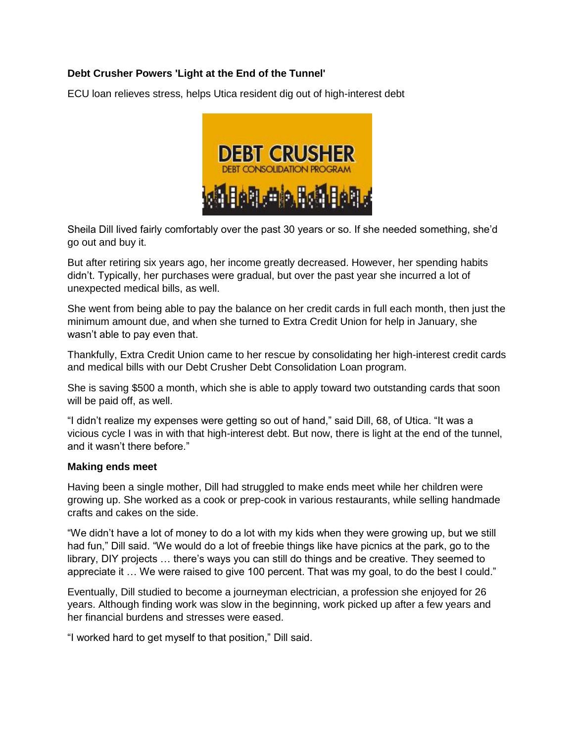## **Debt Crusher Powers 'Light at the End of the Tunnel'**

ECU loan relieves stress, helps Utica resident dig out of high-interest debt



Sheila Dill lived fairly comfortably over the past 30 years or so. If she needed something, she'd go out and buy it.

But after retiring six years ago, her income greatly decreased. However, her spending habits didn't. Typically, her purchases were gradual, but over the past year she incurred a lot of unexpected medical bills, as well.

She went from being able to pay the balance on her credit cards in full each month, then just the minimum amount due, and when she turned to Extra Credit Union for help in January, she wasn't able to pay even that.

Thankfully, Extra Credit Union came to her rescue by consolidating her high-interest credit cards and medical bills with our Debt Crusher Debt Consolidation Loan program.

She is saving \$500 a month, which she is able to apply toward two outstanding cards that soon will be paid off, as well.

"I didn't realize my expenses were getting so out of hand," said Dill, 68, of Utica. "It was a vicious cycle I was in with that high-interest debt. But now, there is light at the end of the tunnel, and it wasn't there before."

## **Making ends meet**

Having been a single mother, Dill had struggled to make ends meet while her children were growing up. She worked as a cook or prep-cook in various restaurants, while selling handmade crafts and cakes on the side.

"We didn't have a lot of money to do a lot with my kids when they were growing up, but we still had fun," Dill said. "We would do a lot of freebie things like have picnics at the park, go to the library, DIY projects … there's ways you can still do things and be creative. They seemed to appreciate it … We were raised to give 100 percent. That was my goal, to do the best I could."

Eventually, Dill studied to become a journeyman electrician, a profession she enjoyed for 26 years. Although finding work was slow in the beginning, work picked up after a few years and her financial burdens and stresses were eased.

"I worked hard to get myself to that position," Dill said.